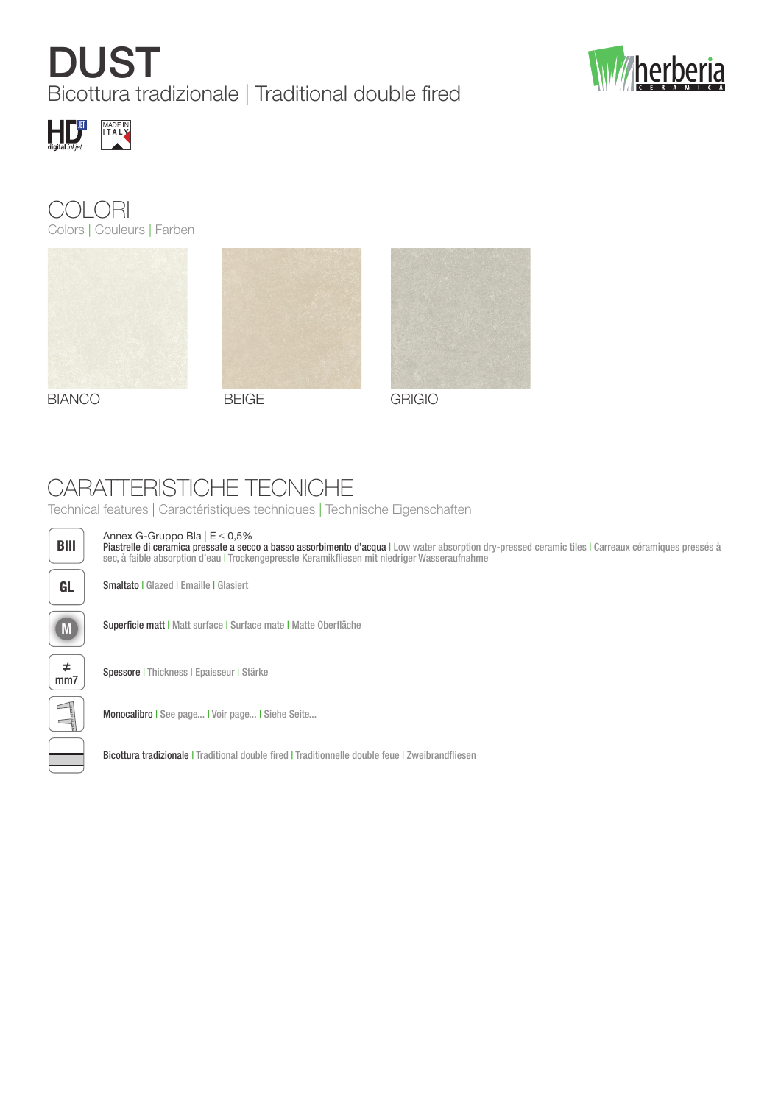## **DUST** Bicottura tradizionale | Traditional double fired











BIANCO BEIGE GRIGIO



## CARATTERISTICHE TECNICHE

Technical features | Caractéristiques techniques | Technische Eigenschaften



Annex G-Gruppo Bla | E ≤ 0,5%

Piastrelle di ceramica pressate a secco a basso assorbimento d'acqua | Low water absorption dry-pressed ceramic tiles | Carreaux céramiques pressés à sec, à faible absorption d'eau | Trockengepresste Keramikfliesen mit niedriger Wasseraufnahme

GL | Smaltato | Glazed | Emaille | Glasiert

M Superficie matt | Matt surface | Surface mate | Matte Oberfläche



Spessore | Thickness | Epaisseur | Stärke

Monocalibro | See page... | Voir page... | Siehe Seite...

Bicottura tradizionale | Traditional double fired | Traditionnelle double feue | Zweibrandfliesen